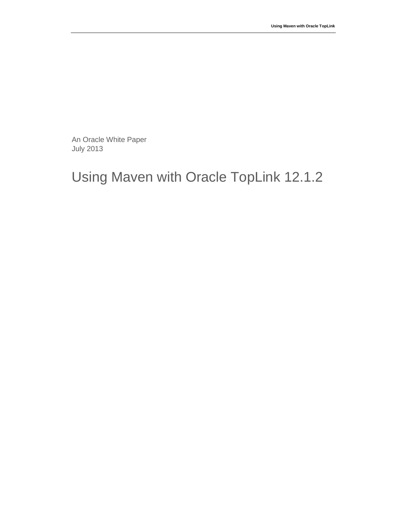An Oracle White Paper July 2013

# Using Maven with Oracle TopLink 12.1.2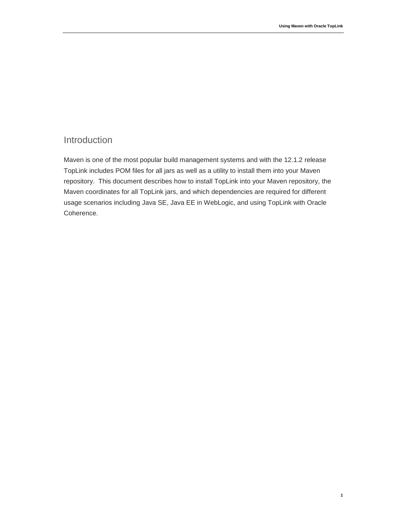**1**

# <span id="page-2-0"></span>Introduction

Maven is one of the most popular build management systems and with the 12.1.2 release TopLink includes POM files for all jars as well as a utility to install them into your Maven repository. This document describes how to install TopLink into your Maven repository, the Maven coordinates for all TopLink jars, and which dependencies are required for different usage scenarios including Java SE, Java EE in WebLogic, and using TopLink with Oracle Coherence.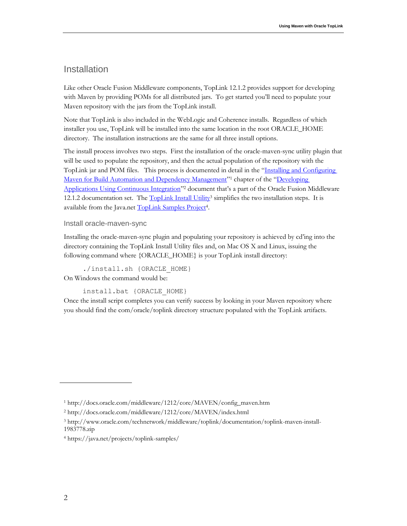## <span id="page-3-0"></span>Installation

Like other Oracle Fusion Middleware components, TopLink 12.1.2 provides support for developing with Maven by providing POMs for all distributed jars. To get started you'll need to populate your Maven repository with the jars from the TopLink install.

Note that TopLink is also included in the WebLogic and Coherence installs. Regardless of which installer you use, TopLink will be installed into the same location in the root ORACLE\_HOME directory. The installation instructions are the same for all three install options.

The install process involves two steps. First the installation of the oracle-maven-sync utility plugin that will be used to populate the repository, and then the actual population of the repository with the TopLink jar and POM files. This process is documented in detail in the "[Installing and Configuring](http://docs.oracle.com/middleware/1212/core/MAVEN/config_maven.htm)  [Maven for Build Automation and Dependency Management](http://docs.oracle.com/middleware/1212/core/MAVEN/config_maven.htm)"<sup>1</sup> chapter of the "Developing [Applications Using Continuous Integration](http://docs.oracle.com/middleware/1212/core/MAVEN/index.html)"<sup>2</sup> document that's a part of the Oracle Fusion Middleware 12.1.2 documentation set. Th[e TopLink Install Utility](http://www.oracle.com/technetwork/middleware/toplink/documentation/toplink-maven-install-1983778.zip)<sup>3</sup> simplifies the two installation steps. It is available from the Java.net [TopLink Samples Project](https://java.net/projects/toplink-samples/)<sup>4</sup>.

#### <span id="page-3-1"></span>Install oracle-maven-sync

Installing the oracle-maven-sync plugin and populating your repository is achieved by cd'ing into the directory containing the TopLink Install Utility files and, on Mac OS X and Linux, issuing the following command where {ORACLE\_HOME} is your TopLink install directory:

./install.sh {ORACLE\_HOME} On Windows the command would be:

install.bat {ORACLE\_HOME}

Once the install script completes you can verify success by looking in your Maven repository where you should find the com/oracle/toplink directory structure populated with the TopLink artifacts.

<sup>1</sup> http://docs.oracle.com/middleware/1212/core/MAVEN/config\_maven.htm

<sup>2</sup> http://docs.oracle.com/middleware/1212/core/MAVEN/index.html

<sup>3</sup> http://www.oracle.com/technetwork/middleware/toplink/documentation/toplink-maven-install-1983778.zip

<sup>4</sup> https://java.net/projects/toplink-samples/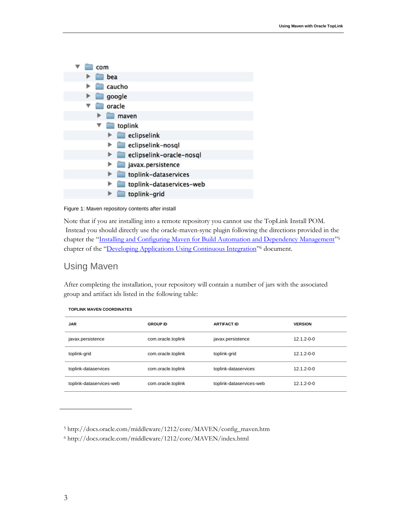| com                      |
|--------------------------|
| bea                      |
| caucho                   |
| google                   |
| oracle                   |
| maven                    |
| toplink                  |
| eclipselink              |
| eclipselink-nosql        |
| eclipselink-oracle-nosql |
| javax.persistence        |
| toplink-dataservices     |
| toplink-dataservices-web |
| toplink-grid             |

Figure 1: Maven repository contents after install

Note that if you are installing into a remote repository you cannot use the TopLink Install POM. Instead you should directly use the oracle-maven-sync plugin following the directions provided in the chapter the "[Installing and Configuring Maven for Build Automation and Dependency Management](http://docs.oracle.com/middleware/1212/core/MAVEN/config_maven.htm)"<sup>5</sup> chapter of the "[Developing Applications Using Continuous Integration](http://docs.oracle.com/middleware/1212/core/MAVEN/index.html)"<sup>6</sup> document.

# <span id="page-4-0"></span>Using Maven

After completing the installation, your repository will contain a number of jars with the associated group and artifact ids listed in the following table:

| <b>JAR</b>               | <b>GROUP ID</b>    | <b>ARTIFACT ID</b>       | <b>VERSION</b>   |
|--------------------------|--------------------|--------------------------|------------------|
| javax.persistence        | com.oracle.toplink | javax.persistence        | $12.1.2 - 0 - 0$ |
| toplink-grid             | com.oracle.toplink | toplink-grid             | $12.1.2 - 0 - 0$ |
| toplink-dataservices     | com.oracle.toplink | toplink-dataservices     | $12.1.2 - 0 - 0$ |
| toplink-dataservices-web | com.oracle.toplink | toplink-dataservices-web | $12.1.2 - 0 - 0$ |

#### **TOPLINK MAVEN COORDINATES**

<sup>6</sup> http://docs.oracle.com/middleware/1212/core/MAVEN/index.html

<sup>5</sup> http://docs.oracle.com/middleware/1212/core/MAVEN/config\_maven.htm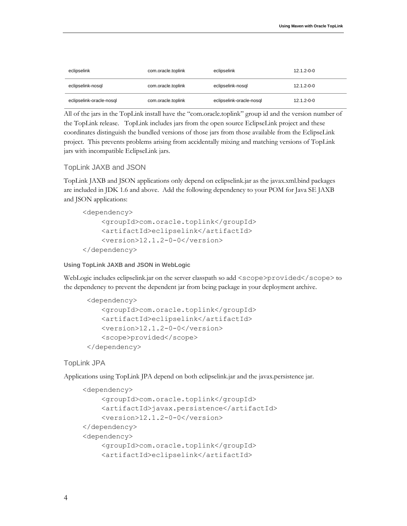| eclipselink              | com.oracle.toplink | eclipselink              | $12.1.2 - 0 - 0$ |
|--------------------------|--------------------|--------------------------|------------------|
| eclipselink-nosgl        | com.oracle.toplink | eclipselink-nosgl        | $12.1.2 - 0 - 0$ |
| eclipselink-oracle-nosql | com.oracle.toplink | eclipselink-oracle-nosql | 12.1.2-0-0       |

All of the jars in the TopLink install have the "com.oracle.toplink" group id and the version number of the TopLink release. TopLink includes jars from the open source EclipseLink project and these coordinates distinguish the bundled versions of those jars from those available from the EclipseLink project. This prevents problems arising from accidentally mixing and matching versions of TopLink jars with incompatible EclipseLink jars.

### <span id="page-5-0"></span>TopLink JAXB and JSON

TopLink JAXB and JSON applications only depend on eclipselink.jar as the javax.xml.bind packages are included in JDK 1.6 and above. Add the following dependency to your POM for Java SE JAXB and JSON applications:

```
<dependency>
    <groupId>com.oracle.toplink</groupId>
    <artifactId>eclipselink</artifactId>
    <version>12.1.2-0-0</version>
</dependency>
```
#### **Using TopLink JAXB and JSON in WebLogic**

WebLogic includes eclipselink.jar on the server classpath so add  $\langle$ scope>provided $\langle$ /scope>to the dependency to prevent the dependent jar from being package in your deployment archive.

```
<dependency>
   <groupId>com.oracle.toplink</groupId>
   <artifactId>eclipselink</artifactId>
   <version>12.1.2-0-0</version>
   <scope>provided</scope>
</dependency>
```
### <span id="page-5-1"></span>TopLink JPA

Applications using TopLink JPA depend on both eclipselink.jar and the javax.persistence jar.

```
<dependency>
    <groupId>com.oracle.toplink</groupId>
    <artifactId>javax.persistence</artifactId>
    <version>12.1.2-0-0</version>
</dependency>
<dependency>
    <groupId>com.oracle.toplink</groupId>
    <artifactId>eclipselink</artifactId>
```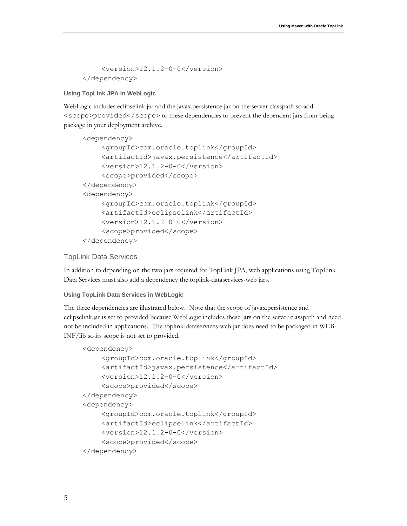<version>12.1.2-0-0</version> </dependency>

**Using TopLink JPA in WebLogic** 

WebLogic includes eclipselink.jar and the javax.persistence jar on the server classpath so add <scope>provided</scope> to these dependencies to prevent the dependent jars from being package in your deployment archive.

```
<dependency>
    <groupId>com.oracle.toplink</groupId>
    <artifactId>javax.persistence</artifactId>
    <version>12.1.2-0-0</version>
    <scope>provided</scope>
</dependency>
<dependency>
    <groupId>com.oracle.toplink</groupId>
    <artifactId>eclipselink</artifactId>
    <version>12.1.2-0-0</version>
    <scope>provided</scope>
</dependency>
```
## <span id="page-6-0"></span>TopLink Data Services

In addition to depending on the two jars required for TopLink JPA, web applications using TopLink Data Services must also add a dependency the toplink-dataservices-web jars.

**Using TopLink Data Services in WebLogic**

The three dependencies are illustrated below. Note that the scope of javax.persistence and eclipselink.jar is set to provided because WebLogic includes these jars on the server classpath and need not be included in applications. The toplink-dataservices-web jar does need to be packaged in WEB-INF/lib so its scope is not set to provided.

```
<dependency>
    <groupId>com.oracle.toplink</groupId>
    <artifactId>javax.persistence</artifactId>
    <version>12.1.2-0-0</version>
    <scope>provided</scope>
</dependency>
<dependency>
    <groupId>com.oracle.toplink</groupId>
    <artifactId>eclipselink</artifactId>
    <version>12.1.2-0-0</version>
    <scope>provided</scope>
</dependency>
```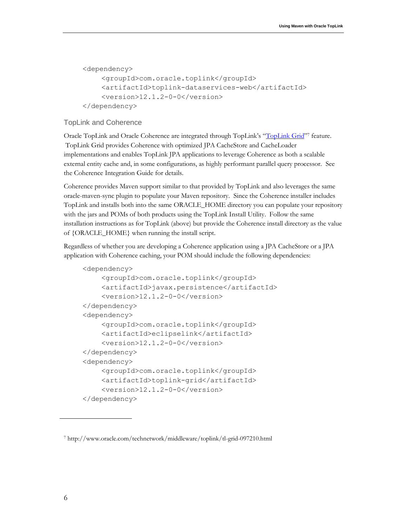```
<dependency>
    <groupId>com.oracle.toplink</groupId>
    <artifactId>toplink-dataservices-web</artifactId>
    <version>12.1.2-0-0</version>
</dependency>
```
## <span id="page-7-0"></span>TopLink and Coherence

Oracle TopLink and Oracle Coherence are integrated through TopLink's "[TopLink Grid](http://www.oracle.com/technetwork/middleware/toplink/tl-grid-097210.html)"<sup>7</sup> feature. TopLink Grid provides Coherence with optimized JPA CacheStore and CacheLoader implementations and enables TopLink JPA applications to leverage Coherence as both a scalable external entity cache and, in some configurations, as highly performant parallel query processor. See the Coherence Integration Guide for details.

Coherence provides Maven support similar to that provided by TopLink and also leverages the same oracle-maven-sync plugin to populate your Maven repository. Since the Coherence installer includes TopLink and installs both into the same ORACLE\_HOME directory you can populate your repository with the jars and POMs of both products using the TopLink Install Utility. Follow the same installation instructions as for TopLink (above) but provide the Coherence install directory as the value of {ORACLE\_HOME} when running the install script.

Regardless of whether you are developing a Coherence application using a JPA CacheStore or a JPA application with Coherence caching, your POM should include the following dependencies:

```
<dependency>
    <groupId>com.oracle.toplink</groupId>
    <artifactId>javax.persistence</artifactId>
    <version>12.1.2-0-0</version>
</dependency>
<dependency>
    <groupId>com.oracle.toplink</groupId>
    <artifactId>eclipselink</artifactId>
    <version>12.1.2-0-0</version>
</dependency>
<dependency>
    <groupId>com.oracle.toplink</groupId>
    <artifactId>toplink-grid</artifactId>
    <version>12.1.2-0-0</version>
</dependency>
```
<sup>7</sup> http://www.oracle.com/technetwork/middleware/toplink/tl-grid-097210.html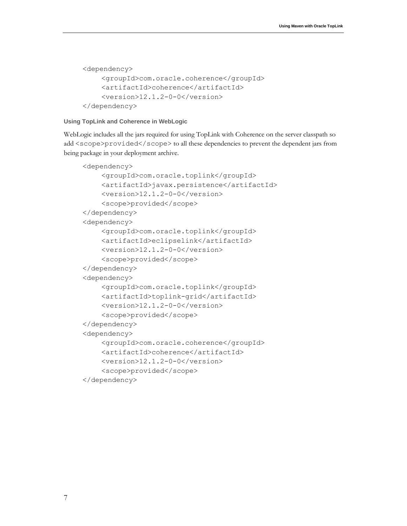```
<dependency>
    <groupId>com.oracle.coherence</groupId>
    <artifactId>coherence</artifactId>
    <version>12.1.2-0-0</version>
</dependency>
```
#### **Using TopLink and Coherence in WebLogic**

WebLogic includes all the jars required for using TopLink with Coherence on the server classpath so add <scope>provided</scope> to all these dependencies to prevent the dependent jars from being package in your deployment archive.

```
<dependency>
    <groupId>com.oracle.toplink</groupId>
    <artifactId>javax.persistence</artifactId>
    <version>12.1.2-0-0</version>
    <scope>provided</scope>
</dependency>
<dependency>
    <groupId>com.oracle.toplink</groupId>
    <artifactId>eclipselink</artifactId>
    <version>12.1.2-0-0</version>
    <scope>provided</scope>
</dependency>
<dependency>
    <groupId>com.oracle.toplink</groupId>
    <artifactId>toplink-grid</artifactId>
    <version>12.1.2-0-0</version>
    <scope>provided</scope>
</dependency>
<dependency>
    <groupId>com.oracle.coherence</groupId>
    <artifactId>coherence</artifactId>
    <version>12.1.2-0-0</version>
    <scope>provided</scope>
</dependency>
```